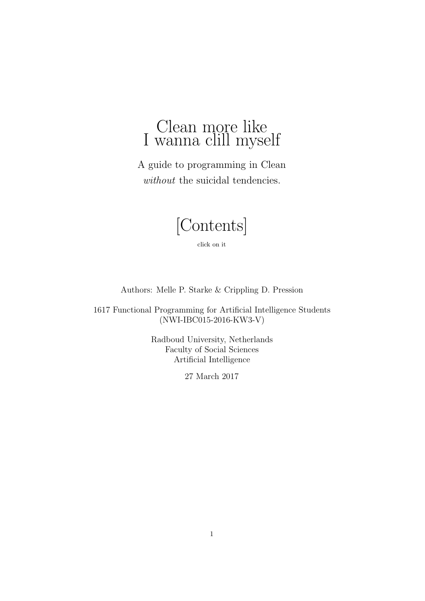# Clean more like I wanna clill myself

A guide to programming in Clean without the suicidal tendencies.

[\[Contents\]](#page-1-0)

click on it

Authors: Melle P. Starke & Crippling D. Pression

1617 Functional Programming for Artificial Intelligence Students (NWI-IBC015-2016-KW3-V)

> Radboud University, Netherlands Faculty of Social Sciences Artificial Intelligence

> > 27 March 2017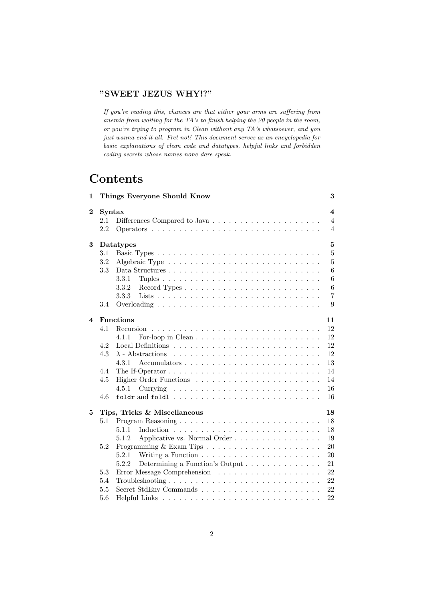#### "SWEET JEZUS WHY!?"

If you're reading this, chances are that either your arms are suffering from anemia from waiting for the TA's to finish helping the 20 people in the room, or you're trying to program in Clean without any TA's whatsoever, and you just wanna end it all. Fret not! This document serves as an encyclopedia for basic explanations of clean code and datatypes, helpful links and forbidden coding secrets whose names none dare speak.

# <span id="page-1-0"></span>**Contents**

| 1              |        | Things Everyone Should Know                                                         | 3              |
|----------------|--------|-------------------------------------------------------------------------------------|----------------|
| $\mathbf{2}$   | Syntax |                                                                                     | $\overline{4}$ |
|                | 2.1    |                                                                                     | $\overline{4}$ |
|                | 2.2    |                                                                                     | $\overline{4}$ |
| 3              |        | Datatypes                                                                           | 5              |
|                | 3.1    |                                                                                     | $\overline{5}$ |
|                | 3.2    |                                                                                     | 5              |
|                | 3.3    |                                                                                     | 6              |
|                |        | 3.3.1                                                                               | 6              |
|                |        | 3.3.2                                                                               | 6              |
|                |        | 3.3.3                                                                               | $\overline{7}$ |
|                | 3.4    |                                                                                     | 9              |
| $\overline{4}$ |        | <b>Functions</b>                                                                    | 11             |
|                | 4.1    |                                                                                     | 12             |
|                |        | 4.1.1                                                                               | 12             |
|                | 4.2    |                                                                                     | 12             |
|                | 4.3    |                                                                                     | 12             |
|                |        | 4.3.1                                                                               | 13             |
|                | 4.4    | The If-Operator $\dots \dots \dots \dots \dots \dots \dots \dots \dots \dots \dots$ | 14             |
|                | 4.5    |                                                                                     | 14             |
|                |        | 4.5.1                                                                               | 16             |
|                | 4.6    |                                                                                     | 16             |
| 5              |        | Tips, Tricks & Miscellaneous                                                        | 18             |
|                | 5.1    |                                                                                     | 18             |
|                |        | 5.1.1                                                                               | 18             |
|                |        | Applicative vs. Normal Order<br>5.1.2                                               | 19             |
|                | 5.2    |                                                                                     | 20             |
|                |        | 5.2.1                                                                               | 20             |
|                |        | Determining a Function's Output<br>5.2.2                                            | 21             |
|                | 5.3    |                                                                                     | 22             |
|                | 5.4    |                                                                                     | 22             |
|                | 5.5    |                                                                                     | 22             |
|                | 5.6    |                                                                                     | 22             |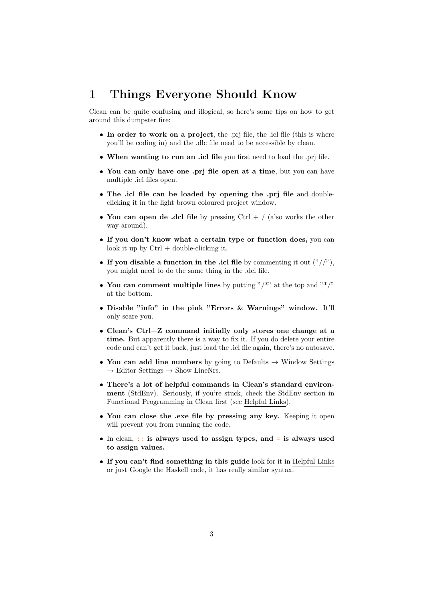# <span id="page-2-0"></span>1 Things Everyone Should Know

Clean can be quite confusing and illogical, so here's some tips on how to get around this dumpster fire:

- In order to work on a project, the .pri file, the .icl file (this is where you'll be coding in) and the .dlc file need to be accessible by clean.
- When wanting to run an .icl file you first need to load the .prj file.
- You can only have one .prj file open at a time, but you can have multiple .icl files open.
- The .icl file can be loaded by opening the .pri file and doubleclicking it in the light brown coloured project window.
- You can open de .dcl file by pressing  $Ctrl + /$  (also works the other way around).
- If you don't know what a certain type or function does, you can look it up by  $Ctrl + double-clicking it$ .
- If you disable a function in the .icl file by commenting it out  $\binom{n}{x}$ , you might need to do the same thing in the .dcl file.
- You can comment multiple lines by putting "/\*" at the top and "\*/" at the bottom.
- Disable "info" in the pink "Errors & Warnings" window. It'll only scare you.
- Clean's Ctrl+Z command initially only stores one change at a time. But apparently there is a way to fix it. If you do delete your entire code and can't get it back, just load the .icl file again, there's no autosave.
- You can add line numbers by going to Defaults  $\rightarrow$  Window Settings  $\rightarrow$  Editor Settings  $\rightarrow$  Show LineNrs.
- There's a lot of helpful commands in Clean's standard environment (StdEnv). Seriously, if you're stuck, check the StdEnv section in Functional Programming in Clean first (see [Helpful Links\)](#page-21-3).
- You can close the .exe file by pressing any key. Keeping it open will prevent you from running the code.
- In clean,  $\therefore$  is always used to assign types, and = is always used to assign values.
- If you can't find something in this guide look for it in [Helpful Links](#page-21-3) or just Google the Haskell code, it has really similar syntax.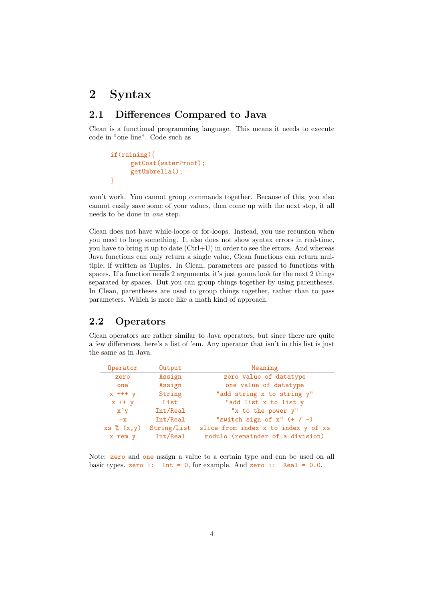# <span id="page-3-0"></span>2 Syntax

## <span id="page-3-1"></span>2.1 Differences Compared to Java

Clean is a functional programming language. This means it needs to execute code in "one line". Code such as

```
if(raining){
     getCoat(waterProof);
     getUmbrella();
}
```
won't work. You cannot group commands together. Because of this, you also cannot easily save some of your values, then come up with the next step, it all needs to be done in one step.

Clean does not have while-loops or for-loops. Instead, you use recursion when you need to loop something. It also does not show syntax errors in real-time, you have to bring it up to date (Ctrl+U) in order to see the errors. And whereas Java functions can only return a single value, Clean functions can return multiple, if written as [Tuples.](#page-5-1) In Clean, parameters are passed to functions with spaces. If a function needs 2 arguments, it's just gonna look for the next 2 things separated by spaces. But you can group things together by using parentheses. In Clean, parentheses are used to group things together, rather than to pass parameters. Which is more like a math kind of approach.

## <span id="page-3-2"></span>2.2 Operators

Clean operators are rather similar to Java operators, but since there are quite a few differences, here's a list of 'em. Any operator that isn't in this list is just the same as in Java.

| Operator    | Output      | Meaning                             |
|-------------|-------------|-------------------------------------|
| zero        | Assign      | zero value of datatype              |
| one         | Assign      | one value of datatype               |
| $x$ +++ $y$ | String      | "add string x to string y"          |
| $x$ ++ $y$  | List        | "add list x to list y               |
| $x^y$       | Int/Real    | "x to the power y"                  |
| $\sim$ x    | Int/Real    | "switch sign of $x''$ (+ / -)       |
| xs % (x,y)  | String/List | slice from index x to index y of xs |
| x rem y     | Int/Real    | modulo (remainder of a division)    |

Note: **zero** and one assign a value to a certain type and can be used on all basic types. zero :: Int = 0, for example. And zero :: Real =  $0.0$ .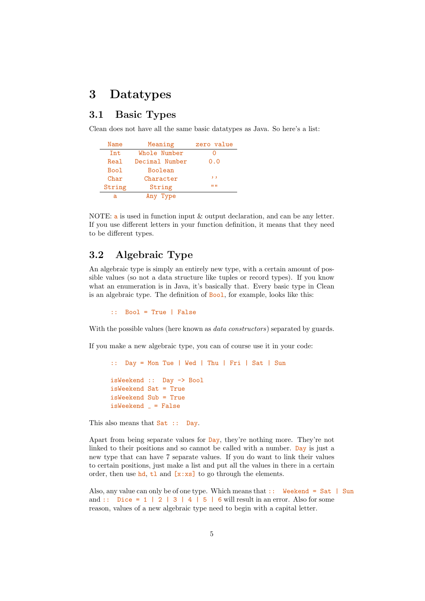## <span id="page-4-0"></span>3 Datatypes

## <span id="page-4-1"></span>3.1 Basic Types

Clean does not have all the same basic datatypes as Java. So here's a list:

| Name   | Meaning        | zero value  |
|--------|----------------|-------------|
| Tnt.   | Whole Number   |             |
| Real   | Decimal Number | 0.0         |
| Boo1   | <b>Boolean</b> |             |
| Char   | Character      | $, \, , \,$ |
| String | String         | 11.11       |
| a      | Any Type       |             |

NOTE: a is used in function input & output declaration, and can be any letter. If you use different letters in your function definition, it means that they need to be different types.

## <span id="page-4-2"></span>3.2 Algebraic Type

An algebraic type is simply an entirely new type, with a certain amount of possible values (so not a data structure like tuples or record types). If you know what an enumeration is in Java, it's basically that. Every basic type in Clean is an algebraic type. The definition of Bool, for example, looks like this:

:: Bool = True | False

With the possible values (here known as *data constructors*) separated by guards.

If you make a new algebraic type, you can of course use it in your code:

```
:: Day = Mon Tue | Wed | Thu | Fri | Sat | Sun
isWeekend :: Day -> Bool
isWeekend Sat = True
isWeekend Sub = True
isWeekend = False
```
This also means that Sat :: Day.

Apart from being separate values for Day, they're nothing more. They're not linked to their positions and so cannot be called with a number. Day is just a new type that can have 7 separate values. If you do want to link their values to certain positions, just make a list and put all the values in there in a certain order, then use hd, tl and  $[x:xs]$  to go through the elements.

Also, any value can only be of one type. Which means that :: Weekend = Sat | Sun and :: Dice =  $1 \mid 2 \mid 3 \mid 4 \mid 5 \mid 6$  will result in an error. Also for some reason, values of a new algebraic type need to begin with a capital letter.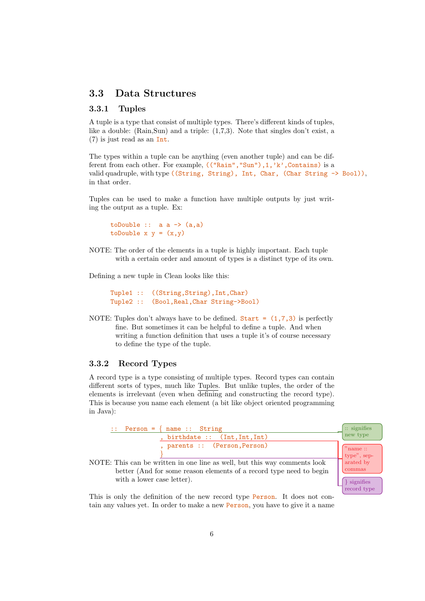## <span id="page-5-0"></span>3.3 Data Structures

#### <span id="page-5-1"></span>3.3.1 Tuples

A tuple is a type that consist of multiple types. There's different kinds of tuples, like a double: (Rain,Sun) and a triple: (1,7,3). Note that singles don't exist, a (7) is just read as an Int.

The types within a tuple can be anything (even another tuple) and can be different from each other. For example, (("Rain","Sun"), 1, 'k', Contains) is a valid quadruple, with type ((String, String), Int, Char, (Char String  $\rightarrow$  Bool)), in that order.

Tuples can be used to make a function have multiple outputs by just writing the output as a tuple. Ex:

```
toDouble :: a a \rightarrow (a,a)toDouble x y = (x,y)
```
NOTE: The order of the elements in a tuple is highly important. Each tuple with a certain order and amount of types is a distinct type of its own.

Defining a new tuple in Clean looks like this:

Tuple1 :: ((String, String), Int, Char) Tuple2 :: (Bool,Real,Char String->Bool)

NOTE: Tuples don't always have to be defined. Start =  $(1,7,3)$  is perfectly fine. But sometimes it can be helpful to define a tuple. And when writing a function definition that uses a tuple it's of course necessary to define the type of the tuple.

#### <span id="page-5-2"></span>3.3.2 Record Types

A record type is a type consisting of multiple types. Record types can contain different sorts of types, much like [Tuples.](#page-5-1) But unlike tuples, the order of the elements is irrelevant (even when defining and constructing the record type). This is because you name each element (a bit like object oriented programming in Java):



This is only the definition of the new record type Person. It does not contain any values yet. In order to make a new Person, you have to give it a name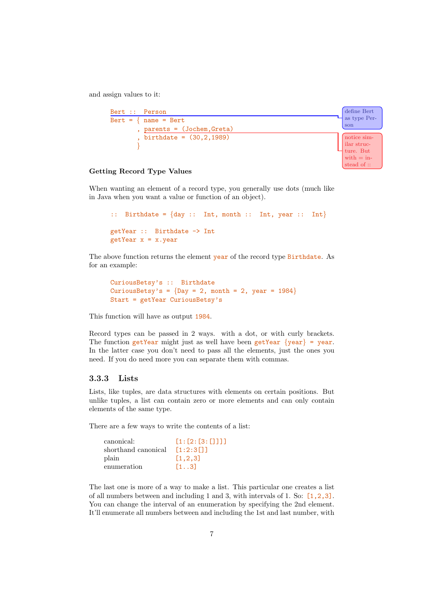and assign values to it:



#### Getting Record Type Values

When wanting an element of a record type, you generally use dots (much like in Java when you want a value or function of an object).

```
:: Birthdate = \{day :: Int, month :: Int, year :: Int\}getYear :: Birthdate -> Int
getYear x = x.year
```
The above function returns the element year of the record type Birthdate. As for an example:

```
CuriousBetsy's :: Birthdate
CuriousBetsy's = \{Day = 2, month = 2, year = 1984\}Start = getYear CuriousBetsy's
```
This function will have as output 1984.

Record types can be passed in 2 ways. with a dot, or with curly brackets. The function getYear might just as well have been getYear  $\{year\}$  = year. In the latter case you don't need to pass all the elements, just the ones you need. If you do need more you can separate them with commas.

#### <span id="page-6-0"></span>3.3.3 Lists

Lists, like tuples, are data structures with elements on certain positions. But unlike tuples, a list can contain zero or more elements and can only contain elements of the same type.

There are a few ways to write the contents of a list:

| canonical:          | [1: [2: [3: [1] 1]         |
|---------------------|----------------------------|
| shorthand canonical | [1:2:3]                    |
| plain               | [1, 2, 3]                  |
| enumeration         | $\lceil 1 \ldots 3 \rceil$ |

The last one is more of a way to make a list. This particular one creates a list of all numbers between and including 1 and 3, with intervals of 1. So: [1,2,3]. You can change the interval of an enumeration by specifying the 2nd element. It'll enumerate all numbers between and including the 1st and last number, with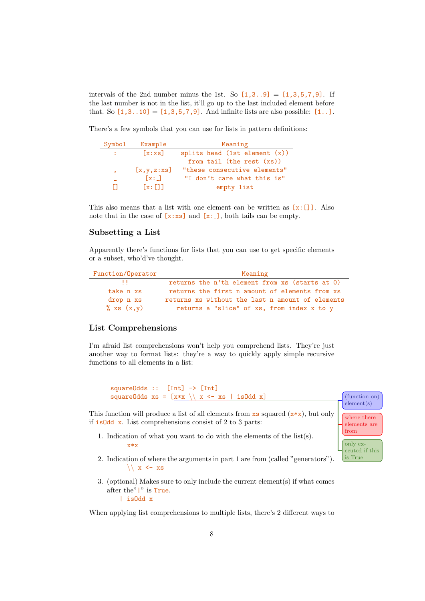intervals of the 2nd number minus the 1st. So  $[1,3..9] = [1,3,5,7,9]$ . If the last number is not in the list, it'll go up to the last included element before that. So  $[1,3..10] = [1,3,5,7,9]$ . And infinite lists are also possible:  $[1..]$ .

There's a few symbols that you can use for lists in pattern definitions:

| Symbol        | Example            | Meaning                          |
|---------------|--------------------|----------------------------------|
| $\mathcal{L}$ | [x:xs]             | splits head (1st element $(x)$ ) |
|               |                    | from tail (the rest $(xs)$ )     |
| $\bullet$     | [x, y, z:xs]       | "these consecutive elements"     |
|               | $\lceil x: \rceil$ | "I don't care what this is"      |
| $\mathbf{1}$  | $\lceil x \rceil$  | empty list                       |

This also means that a list with one element can be written as  $[x:]]$ . Also note that in the case of  $[x:xs]$  and  $[x:-]$ , both tails can be empty.

#### Subsetting a List

Apparently there's functions for lists that you can use to get specific elements or a subset, who'd've thought.

| Function/Operator | Meaning                                          |
|-------------------|--------------------------------------------------|
|                   | returns the n'th element from xs (starts at 0)   |
| take n xs         | returns the first n amount of elements from xs   |
| drop n xs         | returns xs without the last n amount of elements |
| $\%$ xs $(x,y)$   | returns a "slice" of xs, from index x to y       |

#### List Comprehensions

I'm afraid list comprehensions won't help you comprehend lists. They're just another way to format lists: they're a way to quickly apply simple recursive functions to all elements in a list:

squareOdds :: [Int] -> [Int] squareOdds  $xs = [x*x \setminus x \le - xs \mid isOdd x]$  (function on)

This function will produce a list of all elements from  $\mathbf{x}$  squared  $(\mathbf{x} \cdot \mathbf{x})$ , but only if isOdd x. List comprehensions consist of 2 to 3 parts:

element(s)

where there elements are from only executed if this is True

- 1. Indication of what you want to do with the elements of the list(s). x\*x
- 2. Indication of where the arguments in part 1 are from (called "generators").  $\setminus$  x  $\le$  xs
- 3. (optional) Makes sure to only include the current element(s) if what comes after the"|" is True. | isOdd x

When applying list comprehensions to multiple lists, there's 2 different ways to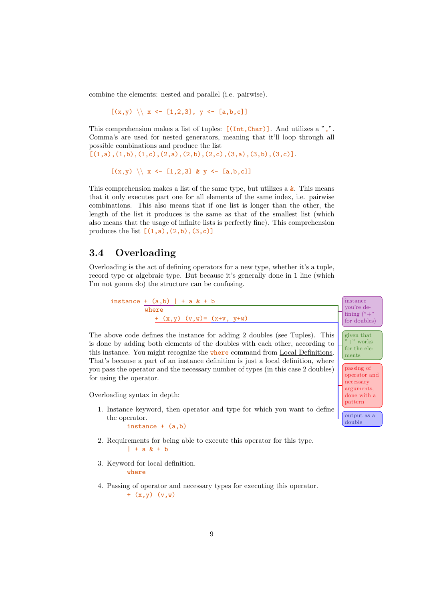combine the elements: nested and parallel (i.e. pairwise).

 $[(x,y) \setminus x \leftarrow [1,2,3], y \leftarrow [a,b,c]$ 

This comprehension makes a list of tuples:  $[(Int,Char)]$ . And utilizes a ",". Comma's are used for nested generators, meaning that it'll loop through all possible combinations and produce the list

 $[(1,a),(1,b),(1,c),(2,a),(2,b),(2,c),(3,a),(3,b),(3,c)].$ 

```
[(x,y) \setminus x \leftarrow [1,2,3] \& y \leftarrow [a,b,c]
```
This comprehension makes a list of the same type, but utilizes a  $\&$ . This means that it only executes part one for all elements of the same index, i.e. pairwise combinations. This also means that if one list is longer than the other, the length of the list it produces is the same as that of the smallest list (which also means that the usage of infinite lists is perfectly fine). This comprehension produces the list  $[(1,a),(2,b),(3,c)]$ 

#### <span id="page-8-0"></span>3.4 Overloading

Overloading is the act of defining operators for a new type, whether it's a tuple, record type or algebraic type. But because it's generally done in 1 line (which I'm not gonna do) the structure can be confusing.



- 2. Requirements for being able to execute this operator for this type.  $| + a \& + b$
- 3. Keyword for local definition. where
- 4. Passing of operator and necessary types for executing this operator. +  $(x,y)$   $(y,w)$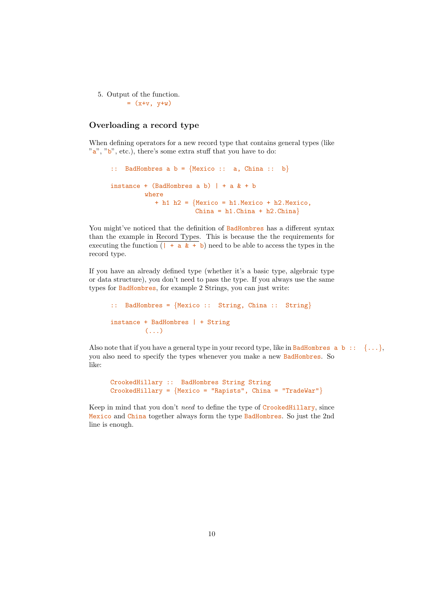5. Output of the function.  $=$   $(x+y, y+w)$ 

#### Overloading a record type

When defining operators for a new record type that contains general types (like  $\alpha$ "a", "b", etc.), there's some extra stuff that you have to do:

```
:: BadHombres a b = \{Mexico :: a, China :: b\}instance + (BadHombres a b) | + a & + b
         where
           + h1 h2 = {Mexico = h1.Mexico + h2.Mexico,
                      China = h1.China + h2.China}
```
You might've noticed that the definition of BadHombres has a different syntax than the example in [Record Types.](#page-5-2) This is because the the requirements for executing the function  $($   $+$   $\alpha$   $\&$   $+$  b) need to be able to access the types in the record type.

If you have an already defined type (whether it's a basic type, algebraic type or data structure), you don't need to pass the type. If you always use the same types for BadHombres, for example 2 Strings, you can just write:

```
:: BadHombres = {Mexico :: String, China :: String}
instance + BadHombres | + String
         ( \ldots )
```
Also note that if you have a general type in your record type, like in BadHombres  $a, b$ :  $\{\ldots\}$ , you also need to specify the types whenever you make a new BadHombres. So like:

```
CrookedHillary :: BadHombres String String
CrookedHillary = {Mexico = "Rapists", China = "TradeWar" }
```
Keep in mind that you don't need to define the type of CrookedHillary, since Mexico and China together always form the type BadHombres. So just the 2nd line is enough.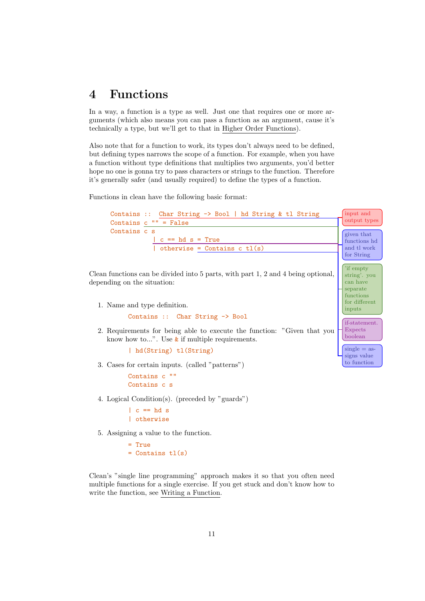# <span id="page-10-0"></span>4 Functions

In a way, a function is a type as well. Just one that requires one or more arguments (which also means you can pass a function as an argument, cause it's technically a type, but we'll get to that in [Higher Order Functions\)](#page-13-1).

Also note that for a function to work, its types don't always need to be defined, but defining types narrows the scope of a function. For example, when you have a function without type definitions that multiplies two arguments, you'd better hope no one is gonna try to pass characters or strings to the function. Therefore it's generally safer (and usually required) to define the types of a function.

Functions in clean have the following basic format:



4. Logical Condition(s). (preceded by "guards")

 $| c == hd s$ | otherwise

5. Assigning a value to the function.

= True  $=$  Contains  $tl(s)$ 

Clean's "single line programming" approach makes it so that you often need multiple functions for a single exercise. If you get stuck and don't know how to write the function, see [Writing a Function.](#page-19-1)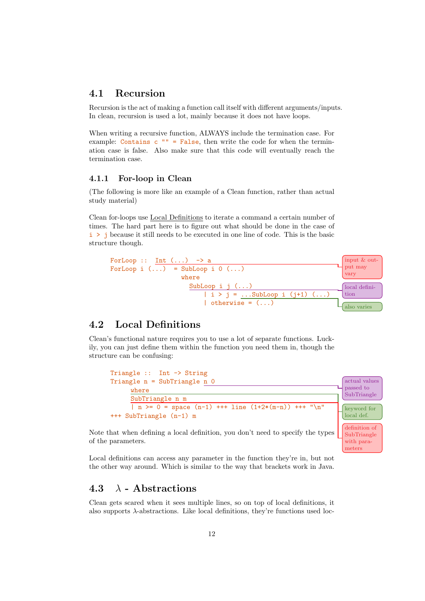## <span id="page-11-0"></span>4.1 Recursion

Recursion is the act of making a function call itself with different arguments/inputs. In clean, recursion is used a lot, mainly because it does not have loops.

When writing a recursive function, ALWAYS include the termination case. For example: Contains  $c$  "" = False, then write the code for when the termination case is false. Also make sure that this code will eventually reach the termination case.

#### <span id="page-11-1"></span>4.1.1 For-loop in Clean

(The following is more like an example of a Clean function, rather than actual study material)

Clean for-loops use [Local Definitions](#page-11-2) to iterate a command a certain number of times. The hard part here is to figure out what should be done in the case of i > j because it still needs to be executed in one line of code. This is the basic structure though.



## <span id="page-11-2"></span>4.2 Local Definitions

Clean's functional nature requires you to use a lot of separate functions. Luckily, you can just define them within the function you need them in, though the structure can be confusing:



SubTriangle with parameters

Note that when defining a local definition, you don't need to specify the types of the parameters.

Local definitions can access any parameter in the function they're in, but not the other way around. Which is similar to the way that brackets work in Java.

## <span id="page-11-3"></span>4.3  $\lambda$  - Abstractions

Clean gets scared when it sees multiple lines, so on top of local definitions, it also supports λ-abstractions. Like local definitions, they're functions used loc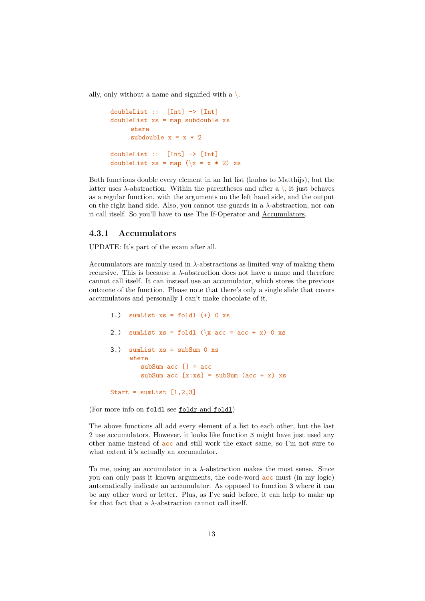ally, only without a name and signified with a  $\setminus$ .

```
doubleList :: [Int] -> [Int]
doubleList xs = map subdouble xs
     where
     subdouble x = x * 2doubleList :: [Int] -> [Int]
doubleList xs = map (\x = x * 2) xs
```
Both functions double every element in an Int list (kudos to Matthijs), but the latter uses  $\lambda$ -abstraction. Within the parentheses and after a \, it just behaves as a regular function, with the arguments on the left hand side, and the output on the right hand side. Also, you cannot use guards in a  $\lambda$ -abstraction, nor can it call itself. So you'll have to use [The If-Operator](#page-13-0) and [Accumulators.](#page-12-0)

#### <span id="page-12-0"></span>4.3.1 Accumulators

UPDATE: It's part of the exam after all.

Accumulators are mainly used in  $\lambda$ -abstractions as limited way of making them recursive. This is because a  $\lambda$ -abstraction does not have a name and therefore cannot call itself. It can instead use an accumulator, which stores the previous outcome of the function. Please note that there's only a single slide that covers accumulators and personally I can't make chocolate of it.

```
1.) sumList xs = fold1 (+) 0 xs2.) sumList xs = fold \ (\{x \ acc = acc + x) \ } 0 xs3.) sumList xs = subSum 0 xs
     where
        subSum acc \lceil \rceil = acc
        subSum acc [x:xs] = subSum (acc + x) xs
Start = sumList [1,2,3]
```
(For more info on foldl see [foldr](#page-15-1) and foldl)

The above functions all add every element of a list to each other, but the last 2 use accumulators. However, it looks like function 3 might have just used any other name instead of acc and still work the exact same, so I'm not sure to what extent it's actually an accumulator.

To me, using an accumulator in a  $\lambda$ -abstraction makes the most sense. Since you can only pass it known arguments, the code-word acc must (in my logic) automatically indicate an accumulator. As opposed to function 3 where it can be any other word or letter. Plus, as I've said before, it can help to make up for that fact that a  $\lambda$ -abstraction cannot call itself.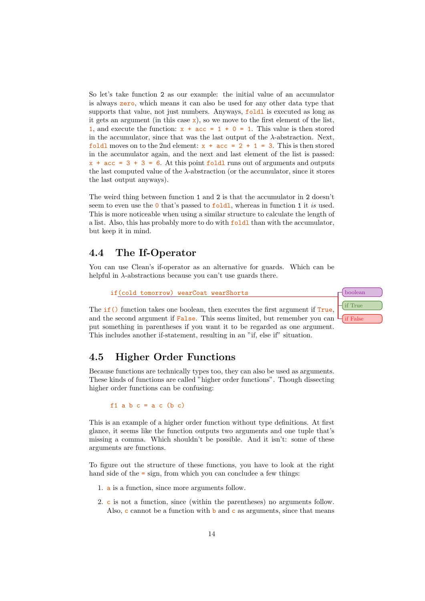So let's take function 2 as our example: the initial value of an accumulator is always zero, which means it can also be used for any other data type that supports that value, not just numbers. Anyways, foldl is executed as long as it gets an argument (in this case  $\mathbf{x}$ ), so we move to the first element of the list, 1, and execute the function:  $x + acc = 1 + 0 = 1$ . This value is then stored in the accumulator, since that was the last output of the  $\lambda$ -abstraction. Next, foldl moves on to the 2nd element:  $x + acc = 2 + 1 = 3$ . This is then stored in the accumulator again, and the next and last element of the list is passed:  $x + acc = 3 + 3 = 6$ . At this point foldl runs out of arguments and outputs the last computed value of the λ-abstraction (or the accumulator, since it stores the last output anyways).

The weird thing between function 1 and 2 is that the accumulator in 2 doesn't seem to even use the  $\overline{0}$  that's passed to  $\overline{1}$  old. Whereas in function 1 it is used. This is more noticeable when using a similar structure to calculate the length of a list. Also, this has probably more to do with foldl than with the accumulator, but keep it in mind.

## <span id="page-13-0"></span>4.4 The If-Operator

You can use Clean's if-operator as an alternative for guards. Which can be helpful in  $\lambda$ -abstractions because you can't use guards there.

if(cold tomorrow) wearCoat wearShorts boolean colored boolean

The **if**() function takes one boolean, then executes the first argument if True. and the second argument if **False**. This seems limited, but remember you can put something in parentheses if you want it to be regarded as one argument. This includes another if-statement, resulting in an "if, else if" situation.

# if True if False

## <span id="page-13-1"></span>4.5 Higher Order Functions

Because functions are technically types too, they can also be used as arguments. These kinds of functions are called "higher order functions". Though dissecting higher order functions can be confusing:

f1 a b  $c = a c$  (b c)

This is an example of a higher order function without type definitions. At first glance, it seems like the function outputs two arguments and one tuple that's missing a comma. Which shouldn't be possible. And it isn't: some of these arguments are functions.

To figure out the structure of these functions, you have to look at the right hand side of the  $=$  sign, from which you can concludee a few things:

- 1. a is a function, since more arguments follow.
- 2. c is not a function, since (within the parentheses) no arguments follow. Also, c cannot be a function with  $\mathbf b$  and c as arguments, since that means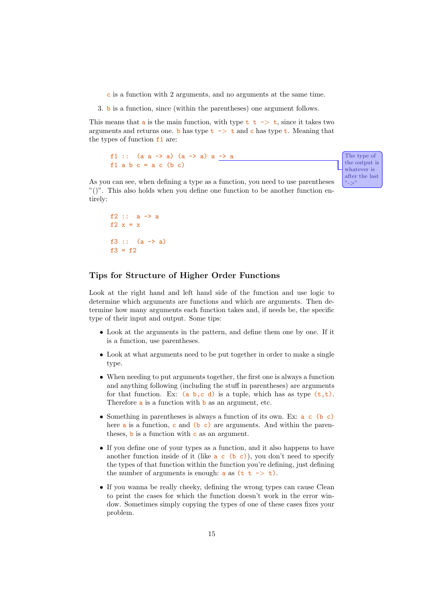c is a function with 2 arguments, and no arguments at the same time.

3. b is a function, since (within the parentheses) one argument follows.

This means that a is the main function, with type  $t \rightarrow +\infty$ , since it takes two arguments and returns one. b has type  $t \rightarrow t$  and c has type  $t$ . Meaning that the types of function f1 are:

```
f1 :: (a \t a \t -\t > a) (a \t -\t > a) a \t -\t > a The type of
f1 a b c = a c (b c)
```
after the last "->" As you can see, when defining a type as a function, you need to use parentheses "()". This also holds when you define one function to be another function en-

the output is whatever is

```
f2 :: a -> a
f2 x = xf3 :: (a \rightarrow a)f3 = f2
```
tirely:

#### Tips for Structure of Higher Order Functions

Look at the right hand and left hand side of the function and use logic to determine which arguments are functions and which are arguments. Then determine how many arguments each function takes and, if needs be, the specific type of their input and output. Some tips:

- Look at the arguments in the pattern, and define them one by one. If it is a function, use parentheses.
- Look at what arguments need to be put together in order to make a single type.
- When needing to put arguments together, the first one is always a function and anything following (including the stuff in parentheses) are arguments for that function. Ex: (a b, c d) is a tuple, which has as type  $(t, t)$ . Therefore **a** is a function with **b** as an argument, etc.
- Something in parentheses is always a function of its own. Ex:  $a \in (b \infty)$ here  $a$  is a function,  $c$  and  $(b \ c)$  are arguments. And within the parentheses,  $\mathbf b$  is a function with  $\mathbf c$  as an argument.
- If you define one of your types as a function, and it also happens to have another function inside of it (like  $a \in (b \ c)$ ), you don't need to specify the types of that function within the function you're defining, just defining the number of arguments is enough:  $a$  as  $(t t \rightarrow t)$ .
- If you wanna be really cheeky, defining the wrong types can cause Clean to print the cases for which the function doesn't work in the error window. Sometimes simply copying the types of one of these cases fixes your problem.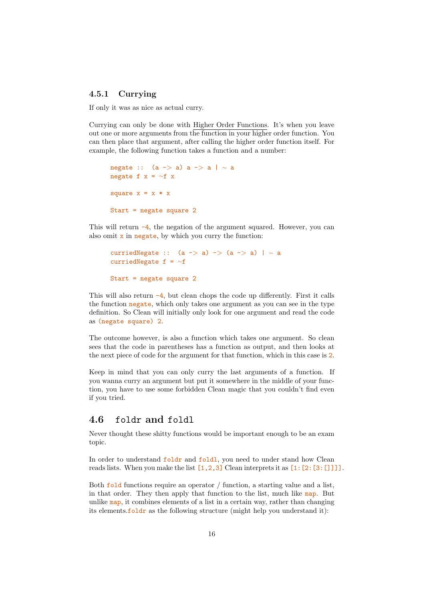#### <span id="page-15-0"></span>4.5.1 Currying

If only it was as nice as actual curry.

Currying can only be done with [Higher Order Functions.](#page-13-1) It's when you leave out one or more arguments from the function in your higher order function. You can then place that argument, after calling the higher order function itself. For example, the following function takes a function and a number:

```
negate :: (a \rightarrow a) a -> a | ∼ a
negate f x = ~\simf x
square x = x * xStart = negate square 2
```
This will return  $-4$ , the negation of the argument squared. However, you can also omit  $x$  in negate, by which you curry the function:

```
curriedNegate :: (a \rightarrow a) \rightarrow (a \rightarrow a) | \sim acurriedNegate f = ∼f
Start = negate square 2
```
This will also return  $-4$ , but clean chops the code up differently. First it calls the function negate, which only takes one argument as you can see in the type definition. So Clean will initially only look for one argument and read the code as (negate square) 2.

The outcome however, is also a function which takes one argument. So clean sees that the code in parentheses has a function as output, and then looks at the next piece of code for the argument for that function, which in this case is 2.

Keep in mind that you can only curry the last arguments of a function. If you wanna curry an argument but put it somewhere in the middle of your function, you have to use some forbidden Clean magic that you couldn't find even if you tried.

#### <span id="page-15-1"></span>4.6 foldr and foldl

Never thought these shitty functions would be important enough to be an exam topic.

In order to understand foldr and foldl, you need to under stand how Clean reads lists. When you make the list  $[1,2,3]$  Clean interprets it as  $[1:[2:[3:1]]$ .

Both fold functions require an operator / function, a starting value and a list, in that order. They then apply that function to the list, much like map. But unlike  $map$ , it combines elements of a list in a certain way, rather than changing its elements.  $f \circ \text{Idr}$  as the following structure (might help you understand it):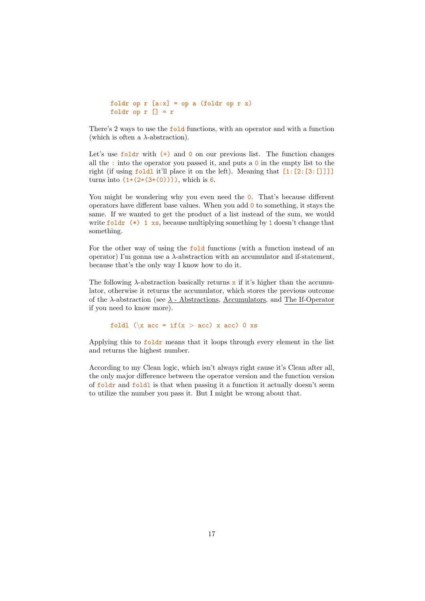```
foldr op r [a:x] = op a (foldr op r x)
foldr op r [] = r
```
There's 2 ways to use the fold functions, with an operator and with a function (which is often a  $\lambda$ -abstraction).

Let's use foldr with  $(+)$  and 0 on our previous list. The function changes all the : into the operator you passed it, and puts a  $\circ$  in the empty list to the right (if using  $f \text{old}$ ) it'll place it on the left). Meaning that  $[1:[2:[3:1]]$ ] turns into  $(1+(2+(3+(0))))$ , which is 6.

You might be wondering why you even need the  $0$ . That's because different operators have different base values. When you add  $\mathbf 0$  to something, it stays the same. If we wanted to get the product of a list instead of the sum, we would write  $foldr$  (\*) 1 xs, because multiplying something by 1 doesn't change that something.

For the other way of using the fold functions (with a function instead of an operator) I'm gonna use a  $\lambda$ -abstraction with an accumulator and if-statement, because that's the only way I know how to do it.

The following  $\lambda$ -abstraction basically returns x if it's higher than the accumulator, otherwise it returns the accumulator, which stores the previous outcome of the  $\lambda$ -abstraction (see  $\lambda$  [- Abstractions,](#page-11-3) [Accumulators,](#page-12-0) and [The If-Operator](#page-13-0) if you need to know more).

foldl  $(\{x \mid \text{acc} = \text{if}(x > \text{acc}) \mid x \text{ acc})\}$  o xs

Applying this to foldr means that it loops through every element in the list and returns the highest number.

According to my Clean logic, which isn't always right cause it's Clean after all, the only major difference between the operator version and the function version of foldr and foldl is that when passing it a function it actually doesn't seem to utilize the number you pass it. But I might be wrong about that.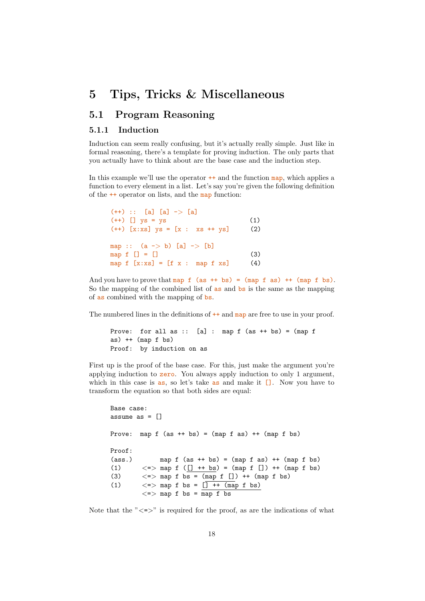# <span id="page-17-0"></span>5 Tips, Tricks & Miscellaneous

## <span id="page-17-1"></span>5.1 Program Reasoning

#### <span id="page-17-2"></span>5.1.1 Induction

Induction can seem really confusing, but it's actually really simple. Just like in formal reasoning, there's a template for proving induction. The only parts that you actually have to think about are the base case and the induction step.

In this example we'll use the operator  $++$  and the function map, which applies a function to every element in a list. Let's say you're given the following definition of the ++ operator on lists, and the map function:

| $(++)$ :: [a] [a] -> [a]<br>$(++)$ [] $ys = ys$<br>$(++)$ [x:xs] ys = [x : xs ++ ys]                       | (1)<br>(2) |
|------------------------------------------------------------------------------------------------------------|------------|
| map :: $(a \rightarrow b)$ [a] $\rightarrow$ [b]<br>map $f$ $[] = []$<br>map $f [x:xs] = [f x : map f xs]$ | (3)<br>(4) |

And you have to prove that map  $f$  (as  $++$  bs) = (map  $f$  as)  $++$  (map  $f$  bs). So the mapping of the combined list of as and bs is the same as the mapping of as combined with the mapping of bs.

The numbered lines in the definitions of  $++$  and map are free to use in your proof.

```
Prove: for all as :: [a] : map f (as + bs) = (map fas) ++ (map f bs)
Proof: by induction on as
```
First up is the proof of the base case. For this, just make the argument you're applying induction to zero. You always apply induction to only 1 argument, which in this case is as, so let's take as and make it  $\Box$ . Now you have to transform the equation so that both sides are equal:

```
Base case:
assume as = []Prove: map f (as ++ bs) = (map f as) ++ (map f bs)
Proof:
(\text{ass.}) map f (\text{as } ++ \text{bs}) = (\text{map } f \text{ as}) ++(\text{map } f \text{ bs})(1) \langle 2 \rangle map f ([] + bs) = (map f []) + + (map f bs)
(3) \langle 3 \rangle \langle 3 \rangle \langle 4 \rangle \langle 5 \rangle = \langle 6 \rangle \langle 6 \rangle = \langle 6 \rangle \langle 7 \rangle + \langle 6 \rangle \langle 8 \rangle(1) \langle 2 \rangle map f bs = \sqrt{3} + \sqrt{2} map f bs)
               \lt = > map f bs = \overline{\text{map f}} bs
```
Note that the " $\langle \equiv \rangle$ " is required for the proof, as are the indications of what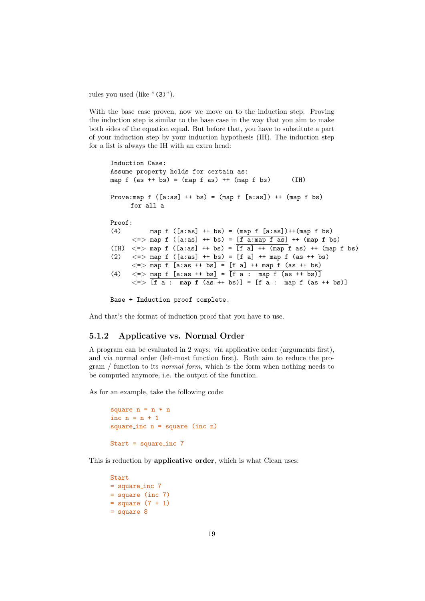rules you used (like "(3)").

With the base case proven, now we move on to the induction step. Proving the induction step is similar to the base case in the way that you aim to make both sides of the equation equal. But before that, you have to substitute a part of your induction step by your induction hypothesis (IH). The induction step for a list is always the IH with an extra head:

Induction Case: Assume property holds for certain as: map  $f$  (as  $++$  bs) = (map  $f$  as)  $++$  (map  $f$  bs) (IH) Prove: map  $f$  ([a:as]  $++$  bs) = (map  $f$  [a:as])  $++$  (map  $f$  bs) for all a Proof: (4) map f  $([a:as] ++ bs) = (map f [a:as])++(map f bs)$  $\langle \Rightarrow \text{map } f \text{ } ([a:as] ++ bs) = [\overline{f} \overline{a:map f as}] ++ (map f bs)$ (IH)  $\langle \rangle$  =  $\rangle$  map f ([a:as] + + bs) =  $\frac{1}{\lceil f \rceil}$  +  $\langle \text{map} \rceil$  as) +  $\langle \text{map} \rceil$  bs) (2)  $\langle 2 \rangle$   $\langle 3 \rangle$   $\langle 4 \rangle$   $\langle 5 \rangle$   $\langle 6 \rangle$   $\langle 1 \rangle$  + bs) = [f a] +  $\frac{1}{2}$   $\langle 1 \rangle$   $\langle 1 \rangle$   $\langle 1 \rangle$   $\langle 2 \rangle$   $\langle 3 \rangle$   $\langle 4 \rangle$   $\langle 5 \rangle$  $\langle 2 \rangle$  map f [a:as ++ bs] = [f a] ++ map f (as ++ bs) (4) <=> map f [a:as ++ bs] = [f a : map f (as ++ bs)]  $\langle \Rightarrow$  [f a : map f (as ++ bs)] = [f a : map f (as ++ bs)]

Base + Induction proof complete.

And that's the format of induction proof that you have to use.

#### <span id="page-18-0"></span>5.1.2 Applicative vs. Normal Order

A program can be evaluated in 2 ways: via applicative order (arguments first), and via normal order (left-most function first). Both aim to reduce the program / function to its normal form, which is the form when nothing needs to be computed anymore, i.e. the output of the function.

As for an example, take the following code:

```
square n = n * ninc n = n + 1square inc n = square (inc n)
Start = square inc 7
```
This is reduction by applicative order, which is what Clean uses:

```
Start
= square_inc 7= square (inc 7)
= square (7 + 1)= square 8
```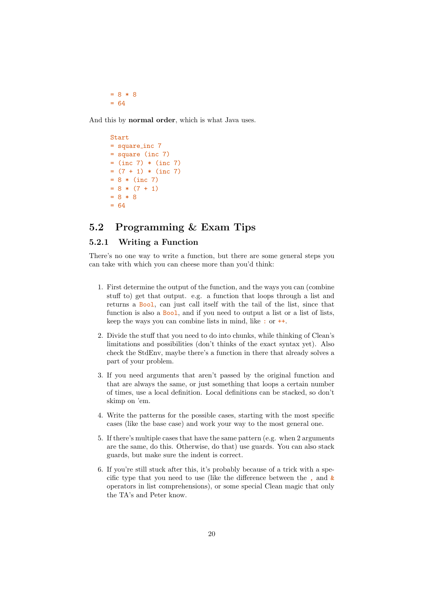$= 8 * 8$  $= 64$ 

And this by normal order, which is what Java uses.

Start = square inc 7 = square (inc 7)  $=$  (inc 7)  $*$  (inc 7)  $= (7 + 1) * (inc 7)$  $= 8 * (inc 7)$  $= 8 * (7 + 1)$  $= 8 * 8$  $= 64$ 

## <span id="page-19-0"></span>5.2 Programming & Exam Tips

#### <span id="page-19-1"></span>5.2.1 Writing a Function

There's no one way to write a function, but there are some general steps you can take with which you can cheese more than you'd think:

- 1. First determine the output of the function, and the ways you can (combine stuff to) get that output. e.g. a function that loops through a list and returns a Bool, can just call itself with the tail of the list, since that function is also a **Bool**, and if you need to output a list or a list of lists, keep the ways you can combine lists in mind, like : or ++.
- 2. Divide the stuff that you need to do into chunks, while thinking of Clean's limitations and possibilities (don't thinks of the exact syntax yet). Also check the StdEnv, maybe there's a function in there that already solves a part of your problem.
- 3. If you need arguments that aren't passed by the original function and that are always the same, or just something that loops a certain number of times, use a local definition. Local definitions can be stacked, so don't skimp on 'em.
- 4. Write the patterns for the possible cases, starting with the most specific cases (like the base case) and work your way to the most general one.
- 5. If there's multiple cases that have the same pattern (e.g. when 2 arguments are the same, do this. Otherwise, do that) use guards. You can also stack guards, but make sure the indent is correct.
- 6. If you're still stuck after this, it's probably because of a trick with a specific type that you need to use (like the difference between the , and  $\&$ operators in list comprehensions), or some special Clean magic that only the TA's and Peter know.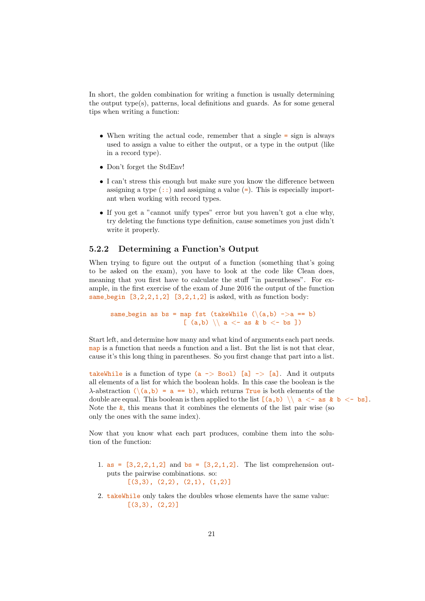In short, the golden combination for writing a function is usually determining the output type(s), patterns, local definitions and guards. As for some general tips when writing a function:

- When writing the actual code, remember that a single = sign is always used to assign a value to either the output, or a type in the output (like in a record type).
- Don't forget the StdEnv!
- I can't stress this enough but make sure you know the difference between assigning a type  $(::)$  and assigning a value  $(=).$  This is especially important when working with record types.
- If you get a "cannot unify types" error but you haven't got a clue why, try deleting the functions type definition, cause sometimes you just didn't write it properly.

#### <span id="page-20-0"></span>5.2.2 Determining a Function's Output

When trying to figure out the output of a function (something that's going to be asked on the exam), you have to look at the code like Clean does, meaning that you first have to calculate the stuff "in parentheses". For example, in the first exercise of the exam of June 2016 the output of the function same begin  $[3,2,2,1,2]$   $[3,2,1,2]$  is asked, with as function body:

same\_begin as bs = map fst (takeWhile  $(\setminus (a,b)$  ->a == b) [  $(a,b) \ \ | \ a \ < \neg \ as \ \& \ b \ < \neg \ bs \ ]$ 

Start left, and determine how many and what kind of arguments each part needs. map is a function that needs a function and a list. But the list is not that clear, cause it's this long thing in parentheses. So you first change that part into a list.

takeWhile is a function of type  $(a \rightarrow$  Bool) [a]  $\rightarrow$  [a]. And it outputs all elements of a list for which the boolean holds. In this case the boolean is the  $\lambda$ -abstraction  $(\langle a,b \rangle = a == b)$ , which returns True is both elements of the double are equal. This boolean is then applied to the list  $[(a,b) \ \ | \ a < - as \ k b < - bs]$ . Note the  $\&$ , this means that it combines the elements of the list pair wise (so only the ones with the same index).

Now that you know what each part produces, combine them into the solution of the function:

- 1. as =  $[3, 2, 2, 1, 2]$  and bs =  $[3, 2, 1, 2]$ . The list comprehension outputs the pairwise combinations. so:  $[(3,3), (2,2), (2,1), (1,2)]$
- 2. takeWhile only takes the doubles whose elements have the same value:  $[(3,3), (2,2)]$